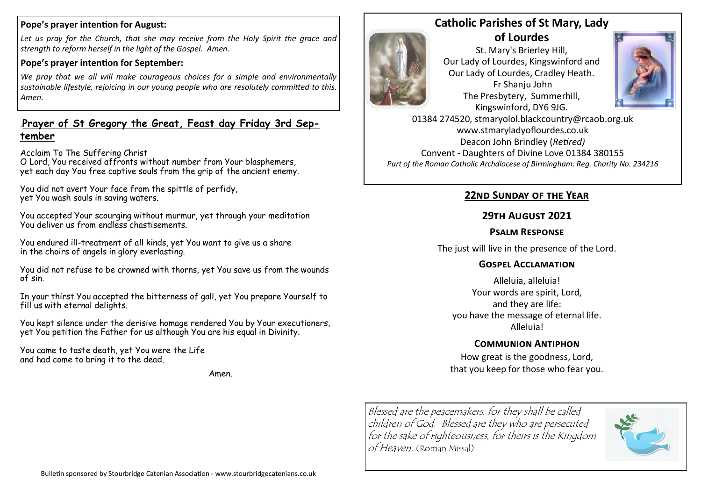#### **Pope's prayer intention for August:**

Let us pray for the Church, that she may receive from the Holy Spirit the grace and *strength to reform herself in the light of the Gospel. Amen.*

#### **Pope's prayer intention for September:**

*We pray that we all will make courageous choices for a simple and environmentally sustainable lifestyle, rejoicing in our young people who are resolutely committed to this. Amen.*

# .**Prayer of St Gregory the Great, Feast day Friday 3rd September**

Acclaim To The Suffering Christ

O Lord, You received affronts without number from Your blasphemers, yet each day You free captive souls from the grip of the ancient enemy.

You did not avert Your face from the spittle of perfidy, yet You wash souls in saving waters.

You accepted Your scourging without murmur, yet through your meditation You deliver us from endless chastisements.

You endured ill-treatment of all kinds, yet You want to give us a share in the choirs of angels in glory everlasting.

You did not refuse to be crowned with thorns, yet You save us from the wounds of sin.

In your thirst You accepted the bitterness of gall, yet You prepare Yourself to fill us with eternal delights.

You kept silence under the derisive homage rendered You by Your executioners, yet You petition the Father for us although You are his equal in Divinity.

You came to taste death, yet You were the Life and had come to bring it to the dead.

Amen.



St. Mary's Brierley Hill, Our Lady of Lourdes, Kingswinford and Our Lady of Lourdes, Cradley Heath. Fr Shanju John The Presbytery, Summerhill, Kingswinford, DY6 9JG.



01384 274520, stmaryolol.blackcountry@rcaob.org.uk www.stmaryladyoflourdes.co.uk Deacon John Brindley (*Retired)* Convent - Daughters of Divine Love 01384 380155 *Part of the Roman Catholic Archdiocese of Birmingham: Reg. Charity No. 234216*

## **22nd Sunday of the Year**

# **29th August 2021**

#### **Psalm Response**

The just will live in the presence of the Lord.

## **Gospel Acclamation**

Alleluia, alleluia! Your words are spirit, Lord, and they are life: you have the message of eternal life. Alleluia!

# **Communion Antiphon**

How great is the goodness, Lord, that you keep for those who fear you.

Blessed are the peacemakers, for they shall be called children of God. Blessed are they who are persecuted for the sake of righteousness, for theirs is the Kingdom of Heaven. (Roman Missal)